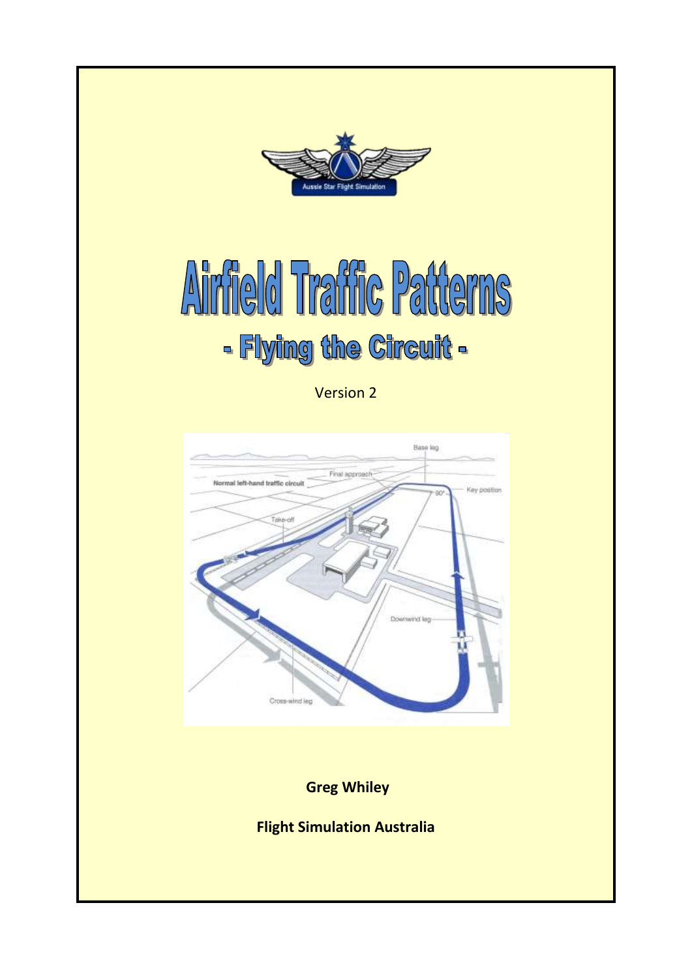

# Airfield Traffic Patterns - Flying the Circuit -

Version 2



**Greg Whiley** 

**Flight Simulation Australia**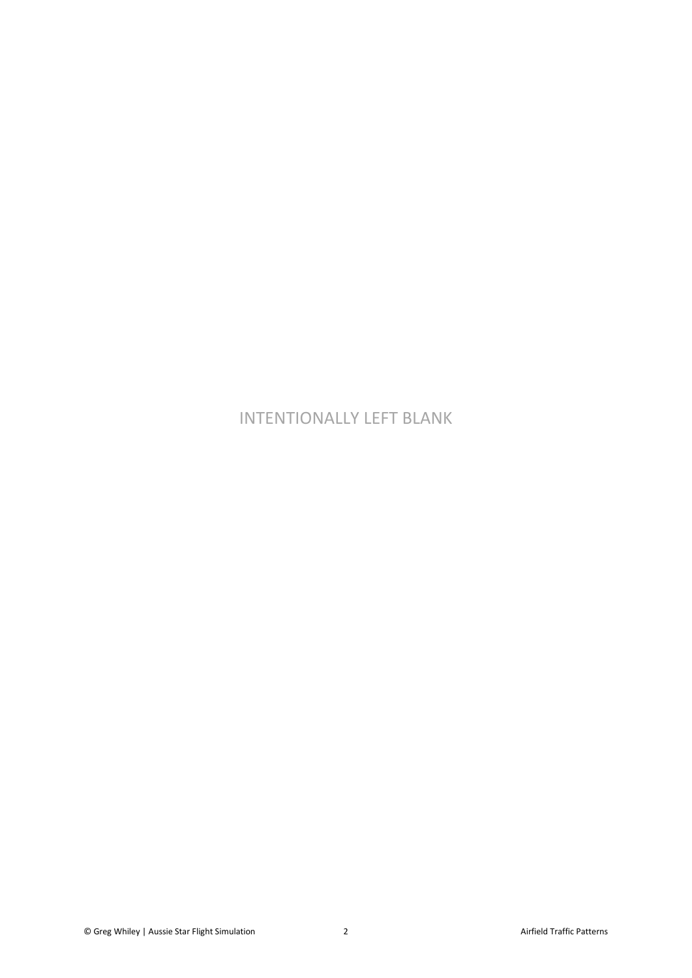## INTENTIONALLY LEFT BLANK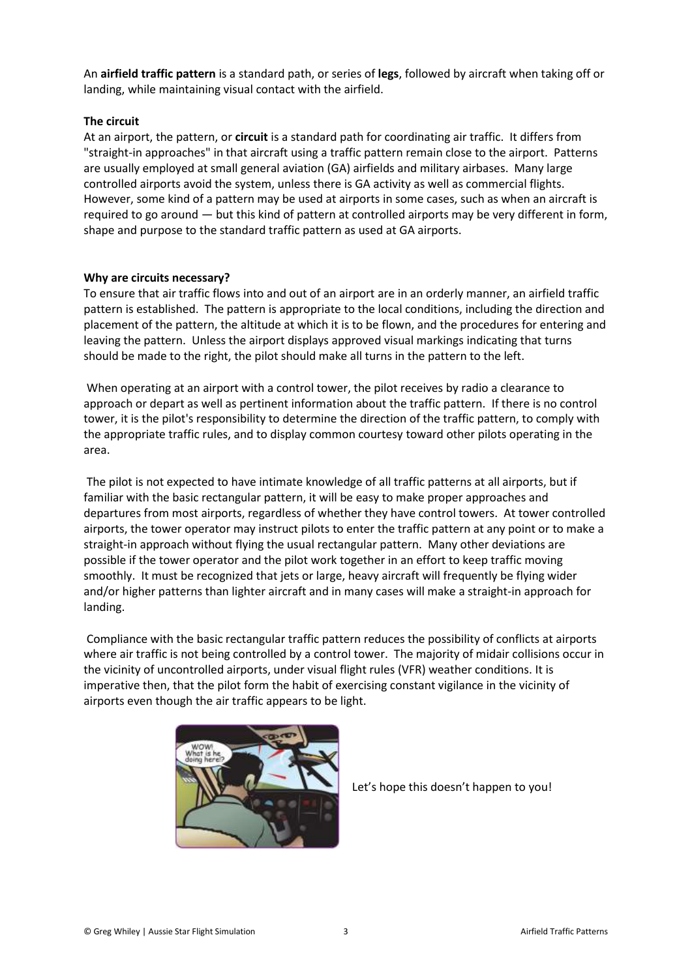An **airfield traffic pattern** is a standard path, or series of **legs**, followed by [aircraft](http://en.wikipedia.org/wiki/Aircraft) whe[n taking off](http://en.wikipedia.org/wiki/Takeoff) or [landing,](http://en.wikipedia.org/wiki/Landing) while maintaining visual contact with the airfield.

#### **The circuit**

At an [airport,](http://en.wikipedia.org/wiki/Airport) the pattern, or **circuit** is a standard path for coordinating [air traffic.](http://en.wikipedia.org/wiki/Air_traffic_control) It differs from "straight-in approaches" in that aircraft using a traffic pattern remain close to the airport. Patterns are usually employed at small [general aviation](http://en.wikipedia.org/wiki/General_aviation) (GA) airfields and military [airbases.](http://en.wikipedia.org/wiki/Airbase) Many large [controlled](http://en.wikipedia.org/wiki/Air_traffic_control) airports avoid the system, unless there is GA activity as well as commercial flights. However, some kind of a pattern may be used at airports in some cases, such as when an aircraft is required to [go around](http://en.wikipedia.org/wiki/Go_around) — but this kind of pattern at controlled airports may be very different in form, shape and purpose to the standard traffic pattern as used at GA airports.

#### **Why are circuits necessary?**

To ensure that air traffic flows into and out of an airport are in an orderly manner, an airfield traffic pattern is established. The pattern is appropriate to the local conditions, including the direction and placement of the pattern, the altitude at which it is to be flown, and the procedures for entering and leaving the pattern. Unless the airport displays approved visual markings indicating that turns should be made to the right, the pilot should make all turns in the pattern to the left.

When operating at an airport with a control tower, the pilot receives by radio a clearance to approach or depart as well as pertinent information about the traffic pattern. If there is no control tower, it is the pilot's responsibility to determine the direction of the traffic pattern, to comply with the appropriate traffic rules, and to display common courtesy toward other pilots operating in the area.

The pilot is not expected to have intimate knowledge of all traffic patterns at all airports, but if familiar with the basic rectangular pattern, it will be easy to make proper approaches and departures from most airports, regardless of whether they have control towers. At tower controlled airports, the tower operator may instruct pilots to enter the traffic pattern at any point or to make a straight-in approach without flying the usual rectangular pattern. Many other deviations are possible if the tower operator and the pilot work together in an effort to keep traffic moving smoothly. It must be recognized that jets or large, heavy aircraft will frequently be flying wider and/or higher patterns than lighter aircraft and in many cases will make a straight-in approach for landing.

Compliance with the basic rectangular traffic pattern reduces the possibility of conflicts at airports where air traffic is not being controlled by a control tower. The majority of midair collisions occur in the vicinity of uncontrolled airports, under visual flight rules (VFR) weather conditions. It is imperative then, that the pilot form the habit of exercising constant vigilance in the vicinity of airports even though the air traffic appears to be light.



Let's hope this doesn't happen to you!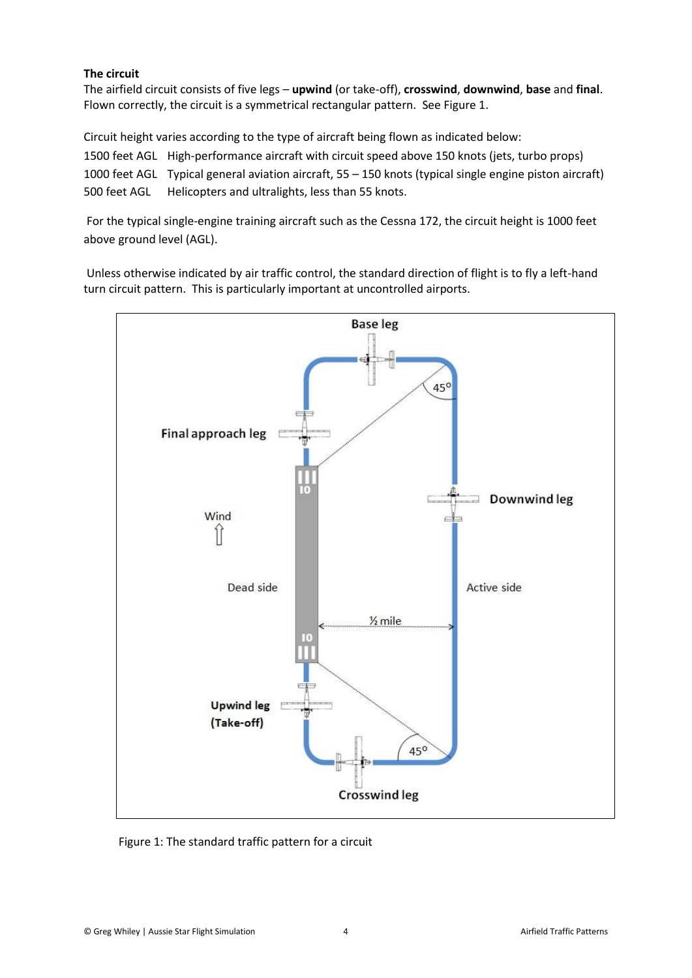#### **The circuit**

The airfield circuit consists of five legs – **upwind** (or take-off), **crosswind**, **downwind**, **base** and **final**. Flown correctly, the circuit is a symmetrical rectangular pattern. See Figure 1.

Circuit height varies according to the type of aircraft being flown as indicated below:

1500 feet AGL High-performance aircraft with circuit speed above 150 knots (jets, turbo props) 1000 feet AGL Typical general aviation aircraft, 55 – 150 knots (typical single engine piston aircraft) 500 feet AGL Helicopters and ultralights, less than 55 knots.

For the typical single-engine training aircraft such as the Cessna 172, the circuit height is 1000 feet above ground level (AGL).

Unless otherwise indicated by air traffic control, the standard direction of flight is to fly a left-hand turn circuit pattern. This is particularly important at uncontrolled airports.



Figure 1: The standard traffic pattern for a circuit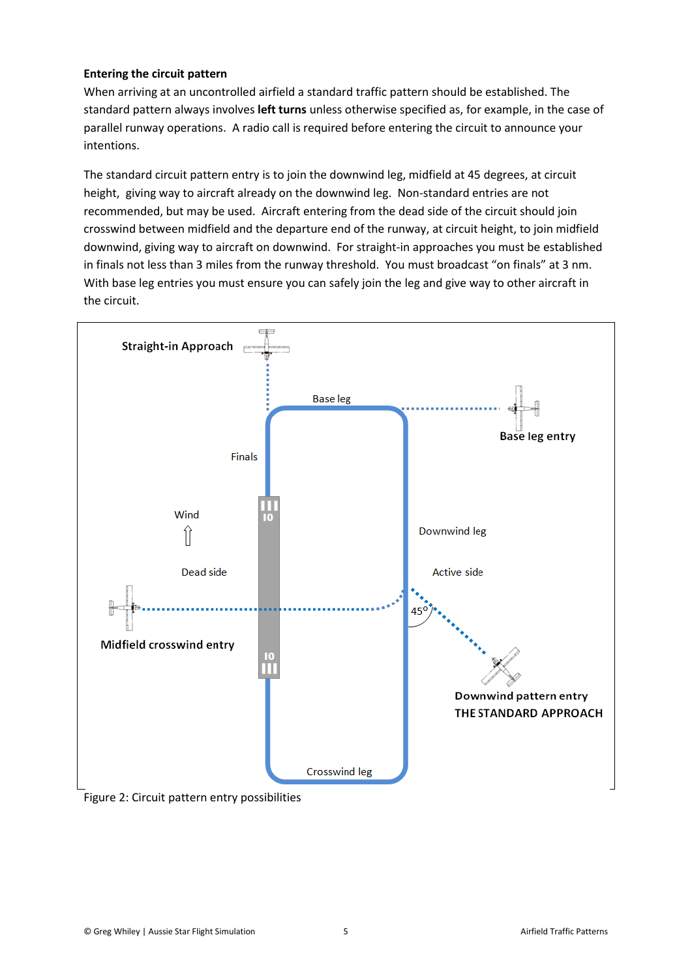#### **Entering the circuit pattern**

When arriving at an uncontrolled airfield a standard traffic pattern should be established. The standard pattern always involves **left turns** unless otherwise specified as, for example, in the case of parallel runway operations. A radio call is required before entering the circuit to announce your intentions.

The standard circuit pattern entry is to join the downwind leg, midfield at 45 degrees, at circuit height, giving way to aircraft already on the downwind leg. Non-standard entries are not recommended, but may be used. Aircraft entering from the dead side of the circuit should join crosswind between midfield and the departure end of the runway, at circuit height, to join midfield downwind, giving way to aircraft on downwind. For straight-in approaches you must be established in finals not less than 3 miles from the runway threshold. You must broadcast "on finals" at 3 nm. With base leg entries you must ensure you can safely join the leg and give way to other aircraft in the circuit.



Figure 2: Circuit pattern entry possibilities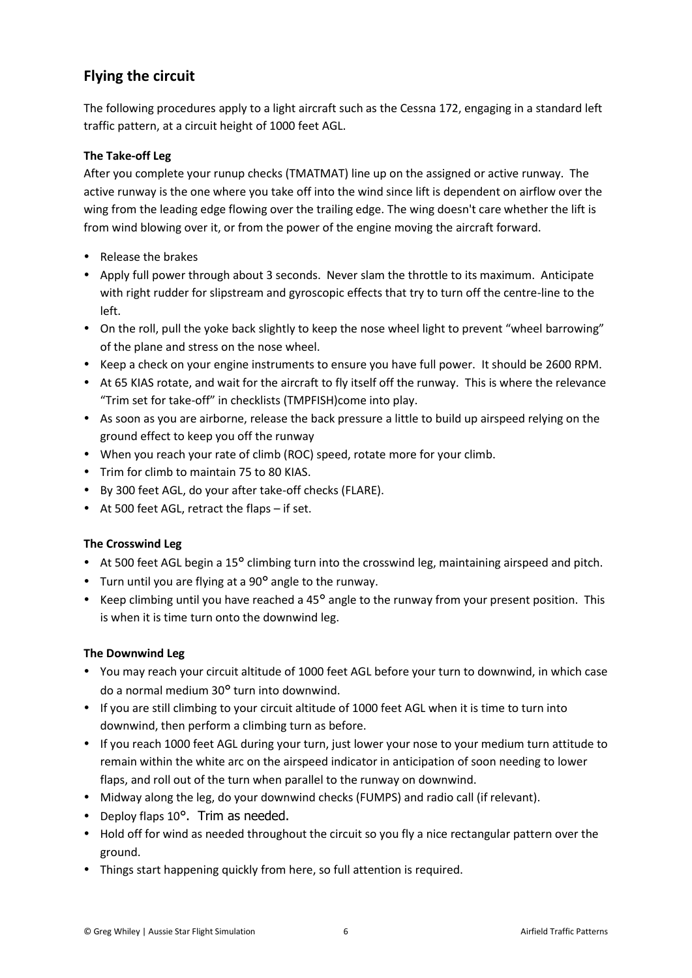### **Flying the circuit**

The following procedures apply to a light aircraft such as the Cessna 172, engaging in a standard left traffic pattern, at a circuit height of 1000 feet AGL.

#### **The Take-off Leg**

After you complete your runup checks (TMATMAT) line up on the assigned or active runway. The active runway is the one where you take off into the wind since lift is dependent on airflow over the wing from the leading edge flowing over the trailing edge. The wing doesn't care whether the lift is from wind blowing over it, or from the power of the engine moving the aircraft forward.

- Release the brakes
- Apply full power through about 3 seconds. Never slam the throttle to its maximum. Anticipate with right rudder for slipstream and gyroscopic effects that try to turn off the centre-line to the left.
- On the roll, pull the yoke back slightly to keep the nose wheel light to prevent "wheel barrowing" of the plane and stress on the nose wheel.
- Keep a check on your engine instruments to ensure you have full power. It should be 2600 RPM.
- At 65 KIAS rotate, and wait for the aircraft to fly itself off the runway. This is where the relevance "Trim set for take-off" in checklists (TMPFISH)come into play.
- As soon as you are airborne, release the back pressure a little to build up airspeed relying on the ground effect to keep you off the runway
- When you reach your rate of climb (ROC) speed, rotate more for your climb.
- Trim for climb to maintain 75 to 80 KIAS.
- By 300 feet AGL, do your after take-off checks (FLARE).
- At 500 feet AGL, retract the flaps if set.

#### **The Crosswind Leg**

- At 500 feet AGL begin a 15° climbing turn into the crosswind leg, maintaining airspeed and pitch.
- Turn until you are flying at a 90° angle to the runway.
- Keep climbing until you have reached a 45° angle to the runway from your present position. This is when it is time turn onto the downwind leg.

#### **The Downwind Leg**

- You may reach your circuit altitude of 1000 feet AGL before your turn to downwind, in which case do a normal medium 30° turn into downwind.
- If you are still climbing to your circuit altitude of 1000 feet AGL when it is time to turn into downwind, then perform a climbing turn as before.
- If you reach 1000 feet AGL during your turn, just lower your nose to your medium turn attitude to remain within the white arc on the airspeed indicator in anticipation of soon needing to lower flaps, and roll out of the turn when parallel to the runway on downwind.
- Midway along the leg, do your downwind checks (FUMPS) and radio call (if relevant).
- Deploy flaps 10°. Trim as needed.
- Hold off for wind as needed throughout the circuit so you fly a nice rectangular pattern over the ground.
- Things start happening quickly from here, so full attention is required.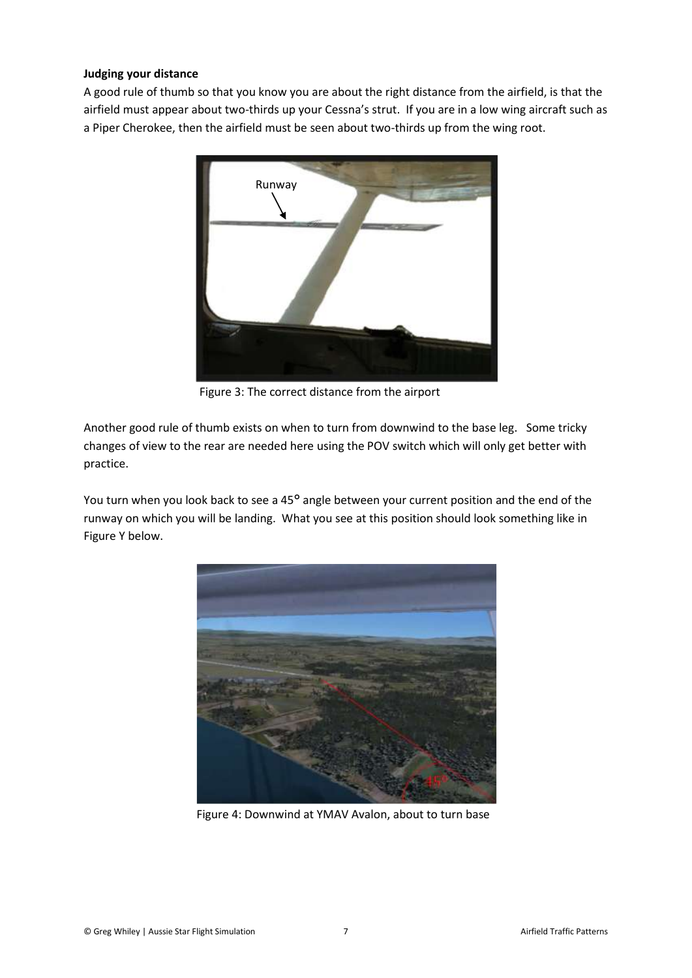#### **Judging your distance**

A good rule of thumb so that you know you are about the right distance from the airfield, is that the airfield must appear about two-thirds up your Cessna's strut. If you are in a low wing aircraft such as a Piper Cherokee, then the airfield must be seen about two-thirds up from the wing root.



Figure 3: The correct distance from the airport

Another good rule of thumb exists on when to turn from downwind to the base leg. Some tricky changes of view to the rear are needed here using the POV switch which will only get better with practice.

You turn when you look back to see a 45° angle between your current position and the end of the runway on which you will be landing. What you see at this position should look something like in Figure Y below.



Figure 4: Downwind at YMAV Avalon, about to turn base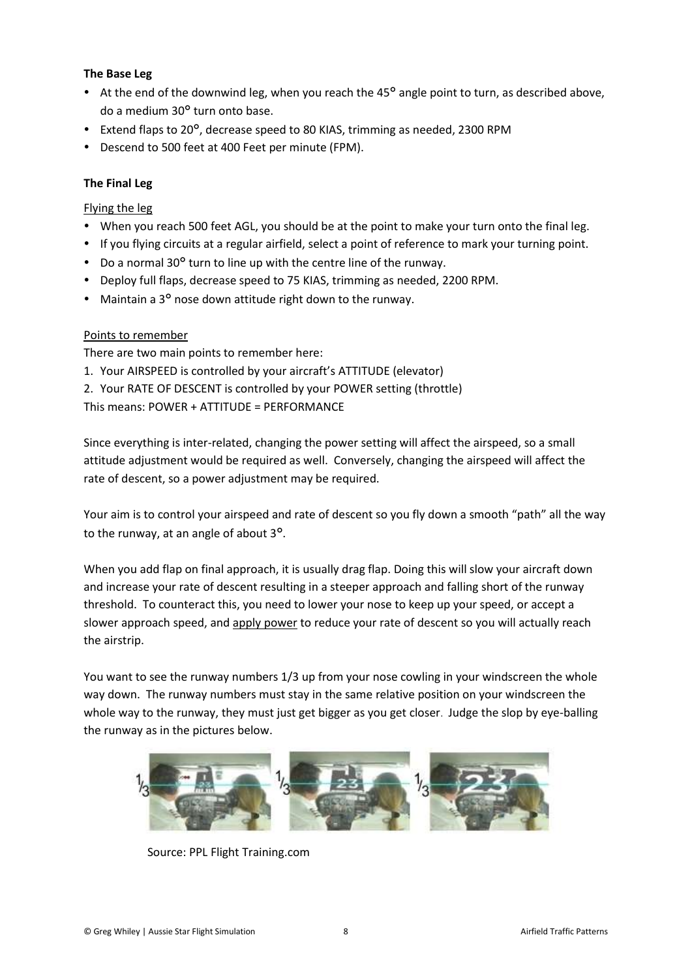#### **The Base Leg**

- At the end of the downwind leg, when you reach the 45<sup>o</sup> angle point to turn, as described above, do a medium 30° turn onto base.
- Extend flaps to 20°, decrease speed to 80 KIAS, trimming as needed, 2300 RPM
- Descend to 500 feet at 400 Feet per minute (FPM).

#### **The Final Leg**

Flying the leg

- When you reach 500 feet AGL, you should be at the point to make your turn onto the final leg.
- If you flying circuits at a regular airfield, select a point of reference to mark your turning point.
- Do a normal 30° turn to line up with the centre line of the runway.
- Deploy full flaps, decrease speed to 75 KIAS, trimming as needed, 2200 RPM.
- Maintain a 3<sup>o</sup> nose down attitude right down to the runway.

#### Points to remember

There are two main points to remember here:

- 1. Your AIRSPEED is controlled by your aircraft's ATTITUDE (elevator)
- 2. Your RATE OF DESCENT is controlled by your POWER setting (throttle)

This means: POWER + ATTITUDE = PERFORMANCE

Since everything is inter-related, changing the power setting will affect the airspeed, so a small attitude adjustment would be required as well. Conversely, changing the airspeed will affect the rate of descent, so a power adjustment may be required.

Your aim is to control your airspeed and rate of descent so you fly down a smooth "path" all the way to the runway, at an angle of about 3°.

When you add flap on final approach, it is usually drag flap. Doing this will slow your aircraft down and increase your rate of descent resulting in a steeper approach and falling short of the runway threshold. To counteract this, you need to lower your nose to keep up your speed, or accept a slower approach speed, and apply power to reduce your rate of descent so you will actually reach the airstrip.

You want to see the runway numbers 1/3 up from your nose cowling in your windscreen the whole way down. The runway numbers must stay in the same relative position on your windscreen the whole way to the runway, they must just get bigger as you get closer. Judge the slop by eye-balling the runway as in the pictures below.



Source: PPL Flight Training.com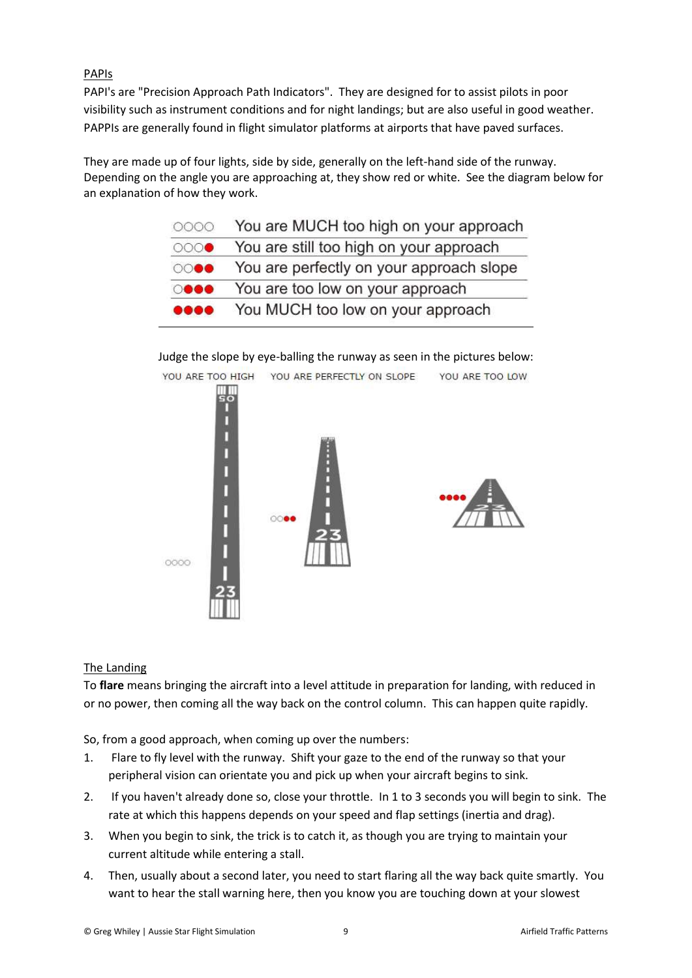#### PAPIs

PAPI's are "Precision Approach Path Indicators". They are designed for to assist pilots in poor visibility such as instrument conditions and for night landings; but are also useful in good weather. PAPPIs are generally found in flight simulator platforms at airports that have paved surfaces.

They are made up of four lights, side by side, generally on the left-hand side of the runway. Depending on the angle you are approaching at, they show red or white. See the diagram below for an explanation of how they work.

| 0000                                                                | You are MUCH too high on your approach   |
|---------------------------------------------------------------------|------------------------------------------|
| 0000                                                                | You are still too high on your approach  |
| 0000                                                                | You are perfectly on your approach slope |
| $\circ\bullet\bullet\bullet$                                        | You are too low on your approach         |
| $\begin{array}{cc} \bullet\bullet\bullet\bullet\bullet \end{array}$ | You MUCH too low on your approach        |

#### Judge the slope by eye-balling the runway as seen in the pictures below:



#### The Landing

To **flare** means bringing the aircraft into a level attitude in preparation for landing, with reduced in or no power, then coming all the way back on the control column. This can happen quite rapidly.

So, from a good approach, when coming up over the numbers:

- 1. Flare to fly level with the runway. Shift your gaze to the end of the runway so that your peripheral vision can orientate you and pick up when your aircraft begins to sink.
- 2. If you haven't already done so, close your throttle. In 1 to 3 seconds you will begin to sink. The rate at which this happens depends on your speed and flap settings (inertia and drag).
- 3. When you begin to sink, the trick is to catch it, as though you are trying to maintain your current altitude while entering a stall.
- 4. Then, usually about a second later, you need to start flaring all the way back quite smartly. You want to hear the stall warning here, then you know you are touching down at your slowest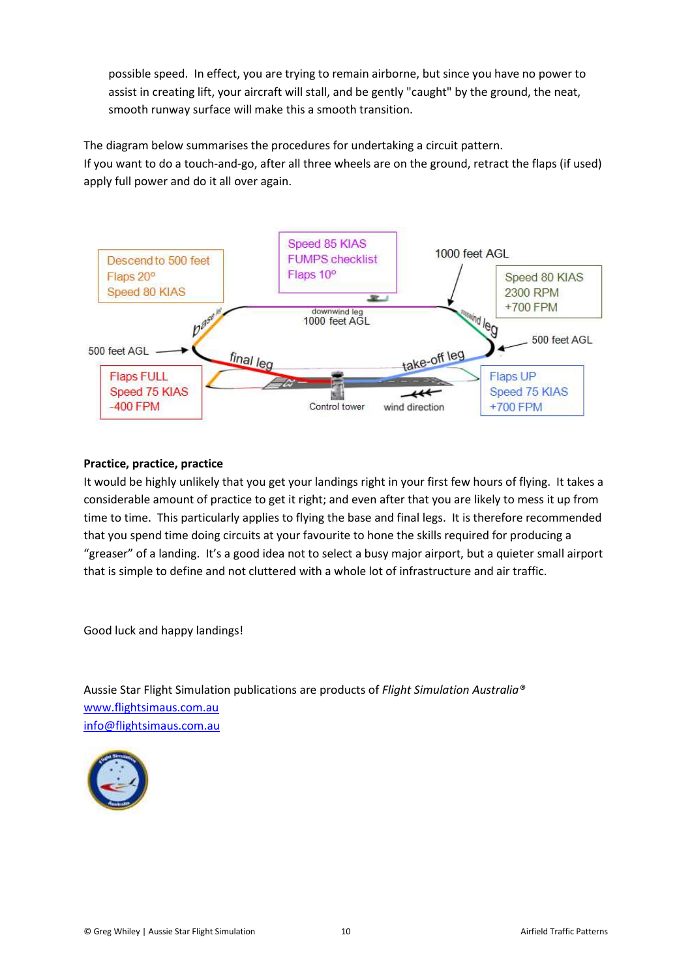possible speed. In effect, you are trying to remain airborne, but since you have no power to assist in creating lift, your aircraft will stall, and be gently "caught" by the ground, the neat, smooth runway surface will make this a smooth transition.

The diagram below summarises the procedures for undertaking a circuit pattern. If you want to do a touch-and-go, after all three wheels are on the ground, retract the flaps (if used) apply full power and do it all over again.



#### **Practice, practice, practice**

It would be highly unlikely that you get your landings right in your first few hours of flying. It takes a considerable amount of practice to get it right; and even after that you are likely to mess it up from time to time. This particularly applies to flying the base and final legs. It is therefore recommended that you spend time doing circuits at your favourite to hone the skills required for producing a "greaser" of a landing. It's a good idea not to select a busy major airport, but a quieter small airport that is simple to define and not cluttered with a whole lot of infrastructure and air traffic.

Good luck and happy landings!

Aussie Star Flight Simulation publications are products of *Flight Simulation Australia®* [www.flightsimaus.com.au](http://www.flightsimaus.com.au/) <info@flightsimaus.com.au>